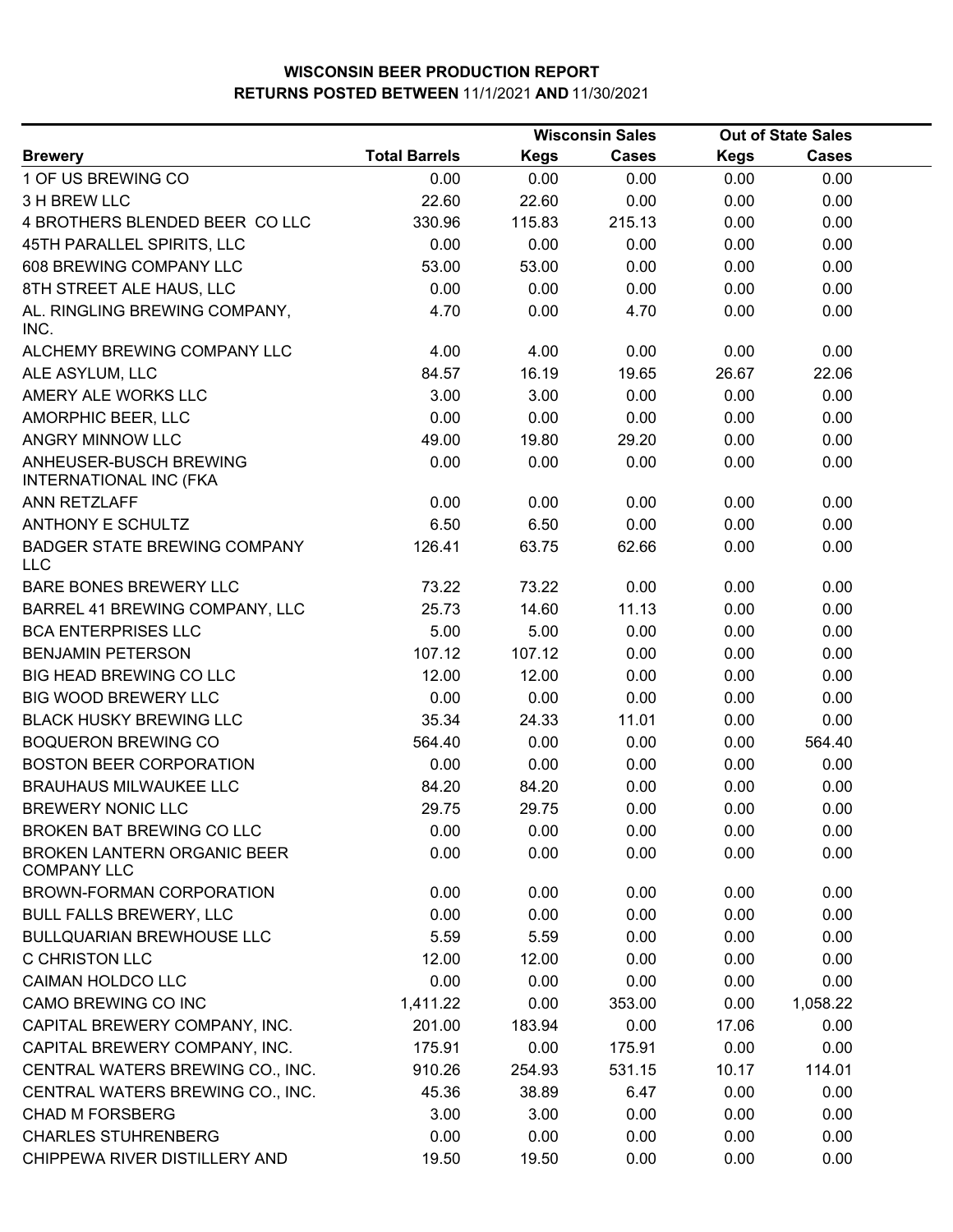|                                                          | <b>Wisconsin Sales</b> |             | <b>Out of State Sales</b> |             |              |  |
|----------------------------------------------------------|------------------------|-------------|---------------------------|-------------|--------------|--|
| <b>Brewery</b>                                           | <b>Total Barrels</b>   | <b>Kegs</b> | <b>Cases</b>              | <b>Kegs</b> | <b>Cases</b> |  |
| 1 OF US BREWING CO                                       | 0.00                   | 0.00        | 0.00                      | 0.00        | 0.00         |  |
| 3 H BREW LLC                                             | 22.60                  | 22.60       | 0.00                      | 0.00        | 0.00         |  |
| 4 BROTHERS BLENDED BEER COLLC                            | 330.96                 | 115.83      | 215.13                    | 0.00        | 0.00         |  |
| 45TH PARALLEL SPIRITS, LLC                               | 0.00                   | 0.00        | 0.00                      | 0.00        | 0.00         |  |
| 608 BREWING COMPANY LLC                                  | 53.00                  | 53.00       | 0.00                      | 0.00        | 0.00         |  |
| 8TH STREET ALE HAUS, LLC                                 | 0.00                   | 0.00        | 0.00                      | 0.00        | 0.00         |  |
| AL. RINGLING BREWING COMPANY,<br>INC.                    | 4.70                   | 0.00        | 4.70                      | 0.00        | 0.00         |  |
| ALCHEMY BREWING COMPANY LLC                              | 4.00                   | 4.00        | 0.00                      | 0.00        | 0.00         |  |
| ALE ASYLUM, LLC                                          | 84.57                  | 16.19       | 19.65                     | 26.67       | 22.06        |  |
| AMERY ALE WORKS LLC                                      | 3.00                   | 3.00        | 0.00                      | 0.00        | 0.00         |  |
| AMORPHIC BEER, LLC                                       | 0.00                   | 0.00        | 0.00                      | 0.00        | 0.00         |  |
| <b>ANGRY MINNOW LLC</b>                                  | 49.00                  | 19.80       | 29.20                     | 0.00        | 0.00         |  |
| ANHEUSER-BUSCH BREWING<br><b>INTERNATIONAL INC (FKA</b>  | 0.00                   | 0.00        | 0.00                      | 0.00        | 0.00         |  |
| ANN RETZLAFF                                             | 0.00                   | 0.00        | 0.00                      | 0.00        | 0.00         |  |
| ANTHONY E SCHULTZ                                        | 6.50                   | 6.50        | 0.00                      | 0.00        | 0.00         |  |
| <b>BADGER STATE BREWING COMPANY</b><br><b>LLC</b>        | 126.41                 | 63.75       | 62.66                     | 0.00        | 0.00         |  |
| BARE BONES BREWERY LLC                                   | 73.22                  | 73.22       | 0.00                      | 0.00        | 0.00         |  |
| BARREL 41 BREWING COMPANY, LLC                           | 25.73                  | 14.60       | 11.13                     | 0.00        | 0.00         |  |
| <b>BCA ENTERPRISES LLC</b>                               | 5.00                   | 5.00        | 0.00                      | 0.00        | 0.00         |  |
| <b>BENJAMIN PETERSON</b>                                 | 107.12                 | 107.12      | 0.00                      | 0.00        | 0.00         |  |
| BIG HEAD BREWING CO LLC                                  | 12.00                  | 12.00       | 0.00                      | 0.00        | 0.00         |  |
| <b>BIG WOOD BREWERY LLC</b>                              | 0.00                   | 0.00        | 0.00                      | 0.00        | 0.00         |  |
| <b>BLACK HUSKY BREWING LLC</b>                           | 35.34                  | 24.33       | 11.01                     | 0.00        | 0.00         |  |
| <b>BOQUERON BREWING CO</b>                               | 564.40                 | 0.00        | 0.00                      | 0.00        | 564.40       |  |
| <b>BOSTON BEER CORPORATION</b>                           | 0.00                   | 0.00        | 0.00                      | 0.00        | 0.00         |  |
| <b>BRAUHAUS MILWAUKEE LLC</b>                            | 84.20                  | 84.20       | 0.00                      | 0.00        | 0.00         |  |
| <b>BREWERY NONIC LLC</b>                                 | 29.75                  | 29.75       | 0.00                      | 0.00        | 0.00         |  |
| BROKEN BAT BREWING CO LLC                                | 0.00                   | 0.00        | 0.00                      | 0.00        | 0.00         |  |
| <b>BROKEN LANTERN ORGANIC BEER</b><br><b>COMPANY LLC</b> | 0.00                   | 0.00        | 0.00                      | 0.00        | 0.00         |  |
| BROWN-FORMAN CORPORATION                                 | 0.00                   | 0.00        | 0.00                      | 0.00        | 0.00         |  |
| <b>BULL FALLS BREWERY, LLC</b>                           | 0.00                   | 0.00        | 0.00                      | 0.00        | 0.00         |  |
| <b>BULLQUARIAN BREWHOUSE LLC</b>                         | 5.59                   | 5.59        | 0.00                      | 0.00        | 0.00         |  |
| <b>C CHRISTON LLC</b>                                    | 12.00                  | 12.00       | 0.00                      | 0.00        | 0.00         |  |
| CAIMAN HOLDCO LLC                                        | 0.00                   | 0.00        | 0.00                      | 0.00        | 0.00         |  |
| CAMO BREWING CO INC                                      | 1,411.22               | 0.00        | 353.00                    | 0.00        | 1,058.22     |  |
| CAPITAL BREWERY COMPANY, INC.                            | 201.00                 | 183.94      | 0.00                      | 17.06       | 0.00         |  |
| CAPITAL BREWERY COMPANY, INC.                            | 175.91                 | 0.00        | 175.91                    | 0.00        | 0.00         |  |
| CENTRAL WATERS BREWING CO., INC.                         | 910.26                 | 254.93      | 531.15                    | 10.17       | 114.01       |  |
| CENTRAL WATERS BREWING CO., INC.                         | 45.36                  | 38.89       | 6.47                      | 0.00        | 0.00         |  |
| <b>CHAD M FORSBERG</b>                                   | 3.00                   | 3.00        | 0.00                      | 0.00        | 0.00         |  |
| <b>CHARLES STUHRENBERG</b>                               | 0.00                   | 0.00        | 0.00                      | 0.00        | 0.00         |  |
| CHIPPEWA RIVER DISTILLERY AND                            | 19.50                  | 19.50       | 0.00                      | 0.00        | 0.00         |  |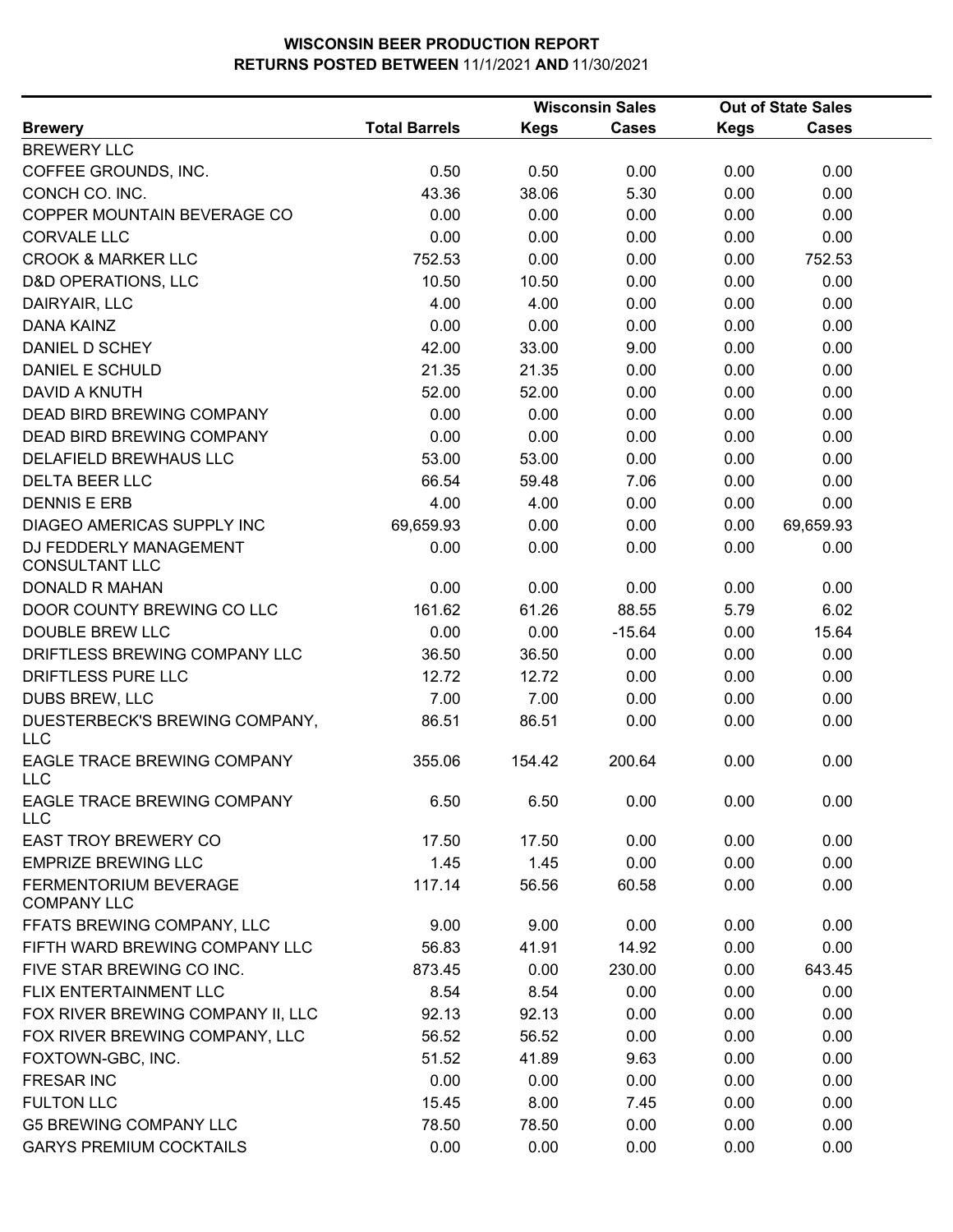|                                                 | <b>Wisconsin Sales</b> |             |              |             |              |  | <b>Out of State Sales</b> |  |
|-------------------------------------------------|------------------------|-------------|--------------|-------------|--------------|--|---------------------------|--|
| <b>Brewery</b>                                  | <b>Total Barrels</b>   | <b>Kegs</b> | <b>Cases</b> | <b>Kegs</b> | <b>Cases</b> |  |                           |  |
| <b>BREWERY LLC</b>                              |                        |             |              |             |              |  |                           |  |
| COFFEE GROUNDS, INC.                            | 0.50                   | 0.50        | 0.00         | 0.00        | 0.00         |  |                           |  |
| CONCH CO. INC.                                  | 43.36                  | 38.06       | 5.30         | 0.00        | 0.00         |  |                           |  |
| COPPER MOUNTAIN BEVERAGE CO                     | 0.00                   | 0.00        | 0.00         | 0.00        | 0.00         |  |                           |  |
| <b>CORVALE LLC</b>                              | 0.00                   | 0.00        | 0.00         | 0.00        | 0.00         |  |                           |  |
| <b>CROOK &amp; MARKER LLC</b>                   | 752.53                 | 0.00        | 0.00         | 0.00        | 752.53       |  |                           |  |
| <b>D&amp;D OPERATIONS, LLC</b>                  | 10.50                  | 10.50       | 0.00         | 0.00        | 0.00         |  |                           |  |
| DAIRYAIR, LLC                                   | 4.00                   | 4.00        | 0.00         | 0.00        | 0.00         |  |                           |  |
| <b>DANA KAINZ</b>                               | 0.00                   | 0.00        | 0.00         | 0.00        | 0.00         |  |                           |  |
| DANIEL D SCHEY                                  | 42.00                  | 33.00       | 9.00         | 0.00        | 0.00         |  |                           |  |
| DANIEL E SCHULD                                 | 21.35                  | 21.35       | 0.00         | 0.00        | 0.00         |  |                           |  |
| DAVID A KNUTH                                   | 52.00                  | 52.00       | 0.00         | 0.00        | 0.00         |  |                           |  |
| <b>DEAD BIRD BREWING COMPANY</b>                | 0.00                   | 0.00        | 0.00         | 0.00        | 0.00         |  |                           |  |
| DEAD BIRD BREWING COMPANY                       | 0.00                   | 0.00        | 0.00         | 0.00        | 0.00         |  |                           |  |
| DELAFIELD BREWHAUS LLC                          | 53.00                  | 53.00       | 0.00         | 0.00        | 0.00         |  |                           |  |
| <b>DELTA BEER LLC</b>                           | 66.54                  | 59.48       | 7.06         | 0.00        | 0.00         |  |                           |  |
| <b>DENNIS E ERB</b>                             | 4.00                   | 4.00        | 0.00         | 0.00        | 0.00         |  |                           |  |
| DIAGEO AMERICAS SUPPLY INC                      | 69,659.93              | 0.00        | 0.00         | 0.00        | 69,659.93    |  |                           |  |
| DJ FEDDERLY MANAGEMENT<br><b>CONSULTANT LLC</b> | 0.00                   | 0.00        | 0.00         | 0.00        | 0.00         |  |                           |  |
| <b>DONALD R MAHAN</b>                           | 0.00                   | 0.00        | 0.00         | 0.00        | 0.00         |  |                           |  |
| DOOR COUNTY BREWING CO LLC                      | 161.62                 | 61.26       | 88.55        | 5.79        | 6.02         |  |                           |  |
| <b>DOUBLE BREW LLC</b>                          | 0.00                   | 0.00        | $-15.64$     | 0.00        | 15.64        |  |                           |  |
| DRIFTLESS BREWING COMPANY LLC                   | 36.50                  | 36.50       | 0.00         | 0.00        | 0.00         |  |                           |  |
| DRIFTLESS PURE LLC                              | 12.72                  | 12.72       | 0.00         | 0.00        | 0.00         |  |                           |  |
| DUBS BREW, LLC                                  | 7.00                   | 7.00        | 0.00         | 0.00        | 0.00         |  |                           |  |
| DUESTERBECK'S BREWING COMPANY,<br><b>LLC</b>    | 86.51                  | 86.51       | 0.00         | 0.00        | 0.00         |  |                           |  |
| EAGLE TRACE BREWING COMPANY<br><b>LLC</b>       | 355.06                 | 154.42      | 200.64       | 0.00        | 0.00         |  |                           |  |
| EAGLE TRACE BREWING COMPANY<br><b>LLC</b>       | 6.50                   | 6.50        | 0.00         | 0.00        | 0.00         |  |                           |  |
| <b>EAST TROY BREWERY CO</b>                     | 17.50                  | 17.50       | 0.00         | 0.00        | 0.00         |  |                           |  |
| <b>EMPRIZE BREWING LLC</b>                      | 1.45                   | 1.45        | 0.00         | 0.00        | 0.00         |  |                           |  |
| FERMENTORIUM BEVERAGE<br><b>COMPANY LLC</b>     | 117.14                 | 56.56       | 60.58        | 0.00        | 0.00         |  |                           |  |
| FFATS BREWING COMPANY, LLC                      | 9.00                   | 9.00        | 0.00         | 0.00        | 0.00         |  |                           |  |
| FIFTH WARD BREWING COMPANY LLC                  | 56.83                  | 41.91       | 14.92        | 0.00        | 0.00         |  |                           |  |
| FIVE STAR BREWING CO INC.                       | 873.45                 | 0.00        | 230.00       | 0.00        | 643.45       |  |                           |  |
| FLIX ENTERTAINMENT LLC                          | 8.54                   | 8.54        | 0.00         | 0.00        | 0.00         |  |                           |  |
| FOX RIVER BREWING COMPANY II, LLC               | 92.13                  | 92.13       | 0.00         | 0.00        | 0.00         |  |                           |  |
| FOX RIVER BREWING COMPANY, LLC                  | 56.52                  | 56.52       | 0.00         | 0.00        | 0.00         |  |                           |  |
| FOXTOWN-GBC, INC.                               | 51.52                  | 41.89       | 9.63         | 0.00        | 0.00         |  |                           |  |
| <b>FRESAR INC</b>                               | 0.00                   | 0.00        | 0.00         | 0.00        | 0.00         |  |                           |  |
| <b>FULTON LLC</b>                               | 15.45                  | 8.00        | 7.45         | 0.00        | 0.00         |  |                           |  |
| <b>G5 BREWING COMPANY LLC</b>                   | 78.50                  | 78.50       | 0.00         | 0.00        | 0.00         |  |                           |  |
| <b>GARYS PREMIUM COCKTAILS</b>                  | 0.00                   | 0.00        | 0.00         | 0.00        | 0.00         |  |                           |  |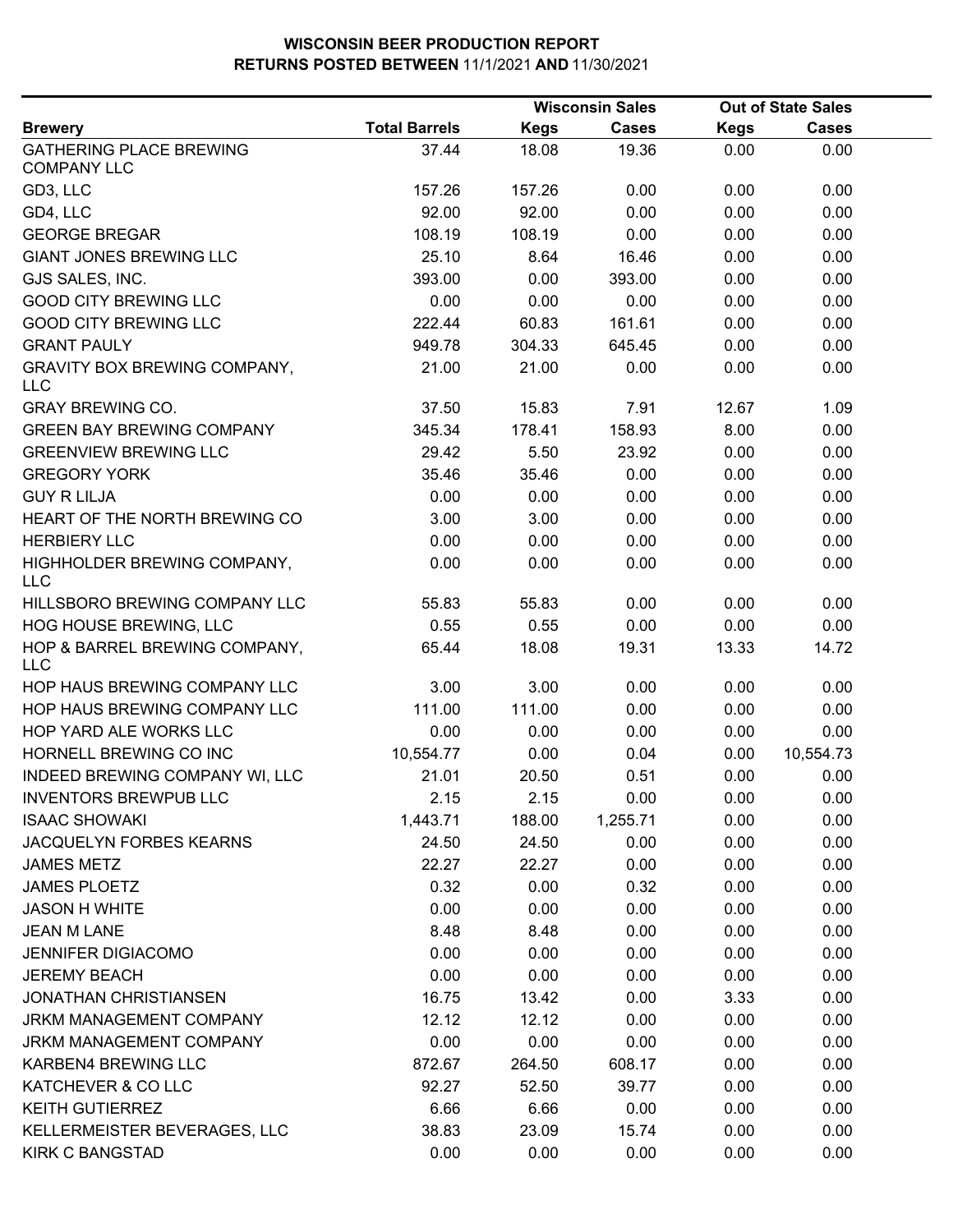|                                                      |                      |             | <b>Wisconsin Sales</b> |             | <b>Out of State Sales</b> |  |
|------------------------------------------------------|----------------------|-------------|------------------------|-------------|---------------------------|--|
| <b>Brewery</b>                                       | <b>Total Barrels</b> | <b>Kegs</b> | <b>Cases</b>           | <b>Kegs</b> | <b>Cases</b>              |  |
| <b>GATHERING PLACE BREWING</b><br><b>COMPANY LLC</b> | 37.44                | 18.08       | 19.36                  | 0.00        | 0.00                      |  |
| GD3, LLC                                             | 157.26               | 157.26      | 0.00                   | 0.00        | 0.00                      |  |
| GD4, LLC                                             | 92.00                | 92.00       | 0.00                   | 0.00        | 0.00                      |  |
| <b>GEORGE BREGAR</b>                                 | 108.19               | 108.19      | 0.00                   | 0.00        | 0.00                      |  |
| <b>GIANT JONES BREWING LLC</b>                       | 25.10                | 8.64        | 16.46                  | 0.00        | 0.00                      |  |
| GJS SALES, INC.                                      | 393.00               | 0.00        | 393.00                 | 0.00        | 0.00                      |  |
| <b>GOOD CITY BREWING LLC</b>                         | 0.00                 | 0.00        | 0.00                   | 0.00        | 0.00                      |  |
| <b>GOOD CITY BREWING LLC</b>                         | 222.44               | 60.83       | 161.61                 | 0.00        | 0.00                      |  |
| <b>GRANT PAULY</b>                                   | 949.78               | 304.33      | 645.45                 | 0.00        | 0.00                      |  |
| GRAVITY BOX BREWING COMPANY,<br><b>LLC</b>           | 21.00                | 21.00       | 0.00                   | 0.00        | 0.00                      |  |
| <b>GRAY BREWING CO.</b>                              | 37.50                | 15.83       | 7.91                   | 12.67       | 1.09                      |  |
| <b>GREEN BAY BREWING COMPANY</b>                     | 345.34               | 178.41      | 158.93                 | 8.00        | 0.00                      |  |
| <b>GREENVIEW BREWING LLC</b>                         | 29.42                | 5.50        | 23.92                  | 0.00        | 0.00                      |  |
| <b>GREGORY YORK</b>                                  | 35.46                | 35.46       | 0.00                   | 0.00        | 0.00                      |  |
| <b>GUY R LILJA</b>                                   | 0.00                 | 0.00        | 0.00                   | 0.00        | 0.00                      |  |
| HEART OF THE NORTH BREWING CO                        | 3.00                 | 3.00        | 0.00                   | 0.00        | 0.00                      |  |
| <b>HERBIERY LLC</b>                                  | 0.00                 | 0.00        | 0.00                   | 0.00        | 0.00                      |  |
| HIGHHOLDER BREWING COMPANY,<br><b>LLC</b>            | 0.00                 | 0.00        | 0.00                   | 0.00        | 0.00                      |  |
| HILLSBORO BREWING COMPANY LLC                        | 55.83                | 55.83       | 0.00                   | 0.00        | 0.00                      |  |
| HOG HOUSE BREWING, LLC                               | 0.55                 | 0.55        | 0.00                   | 0.00        | 0.00                      |  |
| HOP & BARREL BREWING COMPANY,<br><b>LLC</b>          | 65.44                | 18.08       | 19.31                  | 13.33       | 14.72                     |  |
| HOP HAUS BREWING COMPANY LLC                         | 3.00                 | 3.00        | 0.00                   | 0.00        | 0.00                      |  |
| HOP HAUS BREWING COMPANY LLC                         | 111.00               | 111.00      | 0.00                   | 0.00        | 0.00                      |  |
| HOP YARD ALE WORKS LLC                               | 0.00                 | 0.00        | 0.00                   | 0.00        | 0.00                      |  |
| HORNELL BREWING CO INC                               | 10,554.77            | 0.00        | 0.04                   | 0.00        | 10,554.73                 |  |
| INDEED BREWING COMPANY WI, LLC                       | 21.01                | 20.50       | 0.51                   | 0.00        | 0.00                      |  |
| <b>INVENTORS BREWPUB LLC</b>                         | 2.15                 | 2.15        | 0.00                   | 0.00        | 0.00                      |  |
| <b>ISAAC SHOWAKI</b>                                 | 1,443.71             | 188.00      | 1,255.71               | 0.00        | 0.00                      |  |
| JACQUELYN FORBES KEARNS                              | 24.50                | 24.50       | 0.00                   | 0.00        | 0.00                      |  |
| <b>JAMES METZ</b>                                    | 22.27                | 22.27       | 0.00                   | 0.00        | 0.00                      |  |
| <b>JAMES PLOETZ</b>                                  | 0.32                 | 0.00        | 0.32                   | 0.00        | 0.00                      |  |
| <b>JASON H WHITE</b>                                 | 0.00                 | 0.00        | 0.00                   | 0.00        | 0.00                      |  |
| <b>JEAN M LANE</b>                                   | 8.48                 | 8.48        | 0.00                   | 0.00        | 0.00                      |  |
| <b>JENNIFER DIGIACOMO</b>                            | 0.00                 | 0.00        | 0.00                   | 0.00        | 0.00                      |  |
| <b>JEREMY BEACH</b>                                  | 0.00                 | 0.00        | 0.00                   | 0.00        | 0.00                      |  |
| <b>JONATHAN CHRISTIANSEN</b>                         | 16.75                | 13.42       | 0.00                   | 3.33        | 0.00                      |  |
| JRKM MANAGEMENT COMPANY                              | 12.12                | 12.12       | 0.00                   | 0.00        | 0.00                      |  |
| JRKM MANAGEMENT COMPANY                              | 0.00                 | 0.00        | 0.00                   | 0.00        | 0.00                      |  |
| KARBEN4 BREWING LLC                                  | 872.67               | 264.50      | 608.17                 | 0.00        | 0.00                      |  |
| KATCHEVER & CO LLC                                   | 92.27                | 52.50       | 39.77                  | 0.00        | 0.00                      |  |
| <b>KEITH GUTIERREZ</b>                               | 6.66                 | 6.66        | 0.00                   | 0.00        | 0.00                      |  |
| KELLERMEISTER BEVERAGES, LLC                         | 38.83                | 23.09       | 15.74                  | 0.00        | 0.00                      |  |
| <b>KIRK C BANGSTAD</b>                               | 0.00                 | 0.00        | 0.00                   | 0.00        | 0.00                      |  |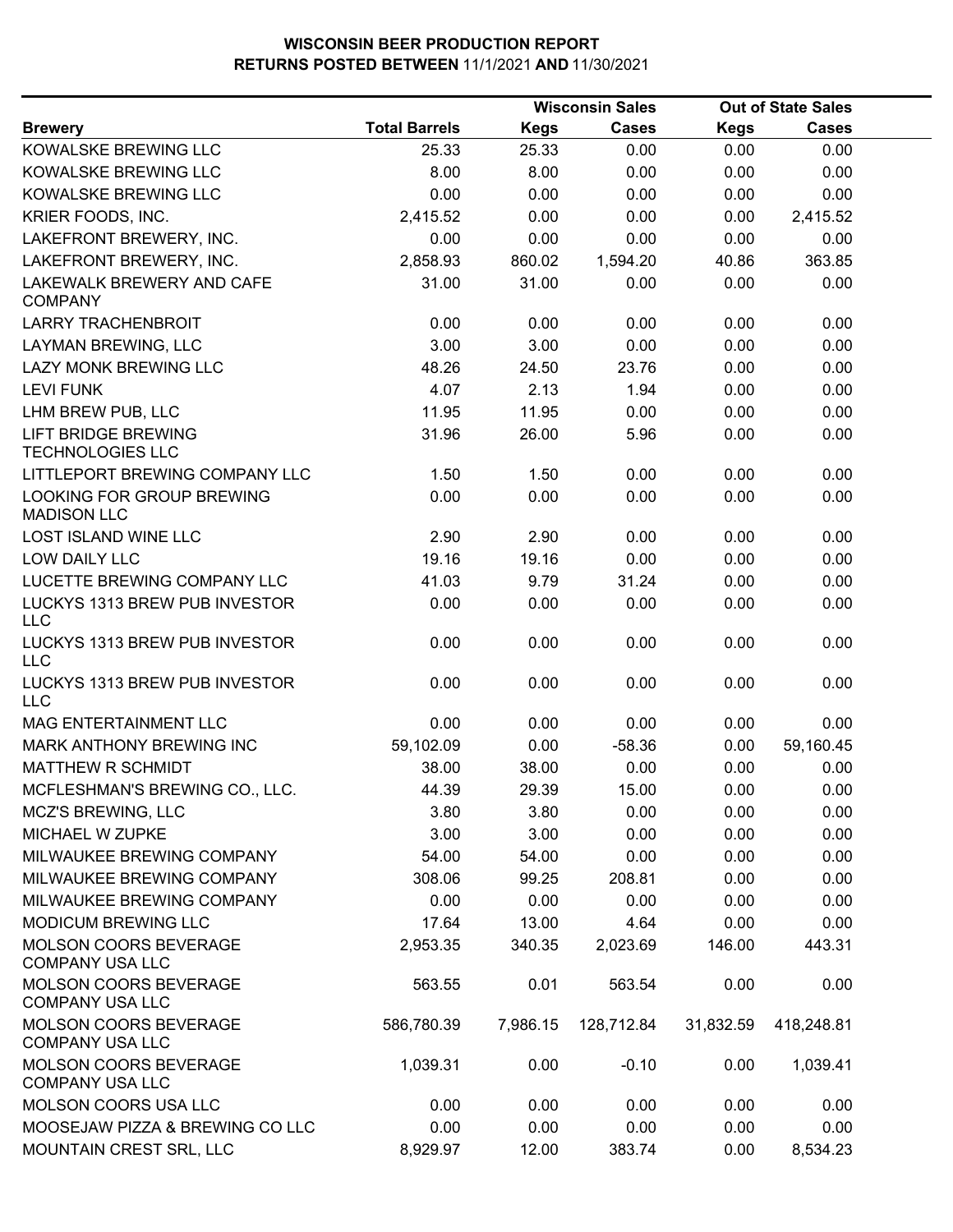|                                                       |                      |             | <b>Wisconsin Sales</b> |             | <b>Out of State Sales</b> |  |  |
|-------------------------------------------------------|----------------------|-------------|------------------------|-------------|---------------------------|--|--|
| <b>Brewery</b>                                        | <b>Total Barrels</b> | <b>Kegs</b> | <b>Cases</b>           | <b>Kegs</b> | <b>Cases</b>              |  |  |
| KOWALSKE BREWING LLC                                  | 25.33                | 25.33       | 0.00                   | 0.00        | 0.00                      |  |  |
| KOWALSKE BREWING LLC                                  | 8.00                 | 8.00        | 0.00                   | 0.00        | 0.00                      |  |  |
| KOWALSKE BREWING LLC                                  | 0.00                 | 0.00        | 0.00                   | 0.00        | 0.00                      |  |  |
| KRIER FOODS, INC.                                     | 2,415.52             | 0.00        | 0.00                   | 0.00        | 2,415.52                  |  |  |
| LAKEFRONT BREWERY, INC.                               | 0.00                 | 0.00        | 0.00                   | 0.00        | 0.00                      |  |  |
| LAKEFRONT BREWERY, INC.                               | 2,858.93             | 860.02      | 1,594.20               | 40.86       | 363.85                    |  |  |
| <b>LAKEWALK BREWERY AND CAFE</b><br><b>COMPANY</b>    | 31.00                | 31.00       | 0.00                   | 0.00        | 0.00                      |  |  |
| <b>LARRY TRACHENBROIT</b>                             | 0.00                 | 0.00        | 0.00                   | 0.00        | 0.00                      |  |  |
| LAYMAN BREWING, LLC                                   | 3.00                 | 3.00        | 0.00                   | 0.00        | 0.00                      |  |  |
| LAZY MONK BREWING LLC                                 | 48.26                | 24.50       | 23.76                  | 0.00        | 0.00                      |  |  |
| <b>LEVI FUNK</b>                                      | 4.07                 | 2.13        | 1.94                   | 0.00        | 0.00                      |  |  |
| LHM BREW PUB, LLC                                     | 11.95                | 11.95       | 0.00                   | 0.00        | 0.00                      |  |  |
| <b>LIFT BRIDGE BREWING</b><br><b>TECHNOLOGIES LLC</b> | 31.96                | 26.00       | 5.96                   | 0.00        | 0.00                      |  |  |
| LITTLEPORT BREWING COMPANY LLC                        | 1.50                 | 1.50        | 0.00                   | 0.00        | 0.00                      |  |  |
| LOOKING FOR GROUP BREWING<br><b>MADISON LLC</b>       | 0.00                 | 0.00        | 0.00                   | 0.00        | 0.00                      |  |  |
| <b>LOST ISLAND WINE LLC</b>                           | 2.90                 | 2.90        | 0.00                   | 0.00        | 0.00                      |  |  |
| LOW DAILY LLC                                         | 19.16                | 19.16       | 0.00                   | 0.00        | 0.00                      |  |  |
| LUCETTE BREWING COMPANY LLC                           | 41.03                | 9.79        | 31.24                  | 0.00        | 0.00                      |  |  |
| LUCKYS 1313 BREW PUB INVESTOR<br><b>LLC</b>           | 0.00                 | 0.00        | 0.00                   | 0.00        | 0.00                      |  |  |
| LUCKYS 1313 BREW PUB INVESTOR<br><b>LLC</b>           | 0.00                 | 0.00        | 0.00                   | 0.00        | 0.00                      |  |  |
| LUCKYS 1313 BREW PUB INVESTOR<br><b>LLC</b>           | 0.00                 | 0.00        | 0.00                   | 0.00        | 0.00                      |  |  |
| MAG ENTERTAINMENT LLC                                 | 0.00                 | 0.00        | 0.00                   | 0.00        | 0.00                      |  |  |
| MARK ANTHONY BREWING INC                              | 59,102.09            | 0.00        | $-58.36$               | 0.00        | 59,160.45                 |  |  |
| <b>MATTHEW R SCHMIDT</b>                              | 38.00                | 38.00       | 0.00                   | 0.00        | 0.00                      |  |  |
| MCFLESHMAN'S BREWING CO., LLC.                        | 44.39                | 29.39       | 15.00                  | 0.00        | 0.00                      |  |  |
| <b>MCZ'S BREWING, LLC</b>                             | 3.80                 | 3.80        | 0.00                   | 0.00        | 0.00                      |  |  |
| MICHAEL W ZUPKE                                       | 3.00                 | 3.00        | 0.00                   | 0.00        | 0.00                      |  |  |
| MILWAUKEE BREWING COMPANY                             | 54.00                | 54.00       | 0.00                   | 0.00        | 0.00                      |  |  |
| MILWAUKEE BREWING COMPANY                             | 308.06               | 99.25       | 208.81                 | 0.00        | 0.00                      |  |  |
| MILWAUKEE BREWING COMPANY                             | 0.00                 | 0.00        | 0.00                   | 0.00        | 0.00                      |  |  |
| <b>MODICUM BREWING LLC</b>                            | 17.64                | 13.00       | 4.64                   | 0.00        | 0.00                      |  |  |
| MOLSON COORS BEVERAGE<br><b>COMPANY USA LLC</b>       | 2,953.35             | 340.35      | 2,023.69               | 146.00      | 443.31                    |  |  |
| MOLSON COORS BEVERAGE<br><b>COMPANY USA LLC</b>       | 563.55               | 0.01        | 563.54                 | 0.00        | 0.00                      |  |  |
| MOLSON COORS BEVERAGE<br><b>COMPANY USA LLC</b>       | 586,780.39           | 7,986.15    | 128,712.84             | 31,832.59   | 418,248.81                |  |  |
| MOLSON COORS BEVERAGE<br><b>COMPANY USA LLC</b>       | 1,039.31             | 0.00        | $-0.10$                | 0.00        | 1,039.41                  |  |  |
| MOLSON COORS USA LLC                                  | 0.00                 | 0.00        | 0.00                   | 0.00        | 0.00                      |  |  |
| MOOSEJAW PIZZA & BREWING CO LLC                       | 0.00                 | 0.00        | 0.00                   | 0.00        | 0.00                      |  |  |
| MOUNTAIN CREST SRL, LLC                               | 8,929.97             | 12.00       | 383.74                 | 0.00        | 8,534.23                  |  |  |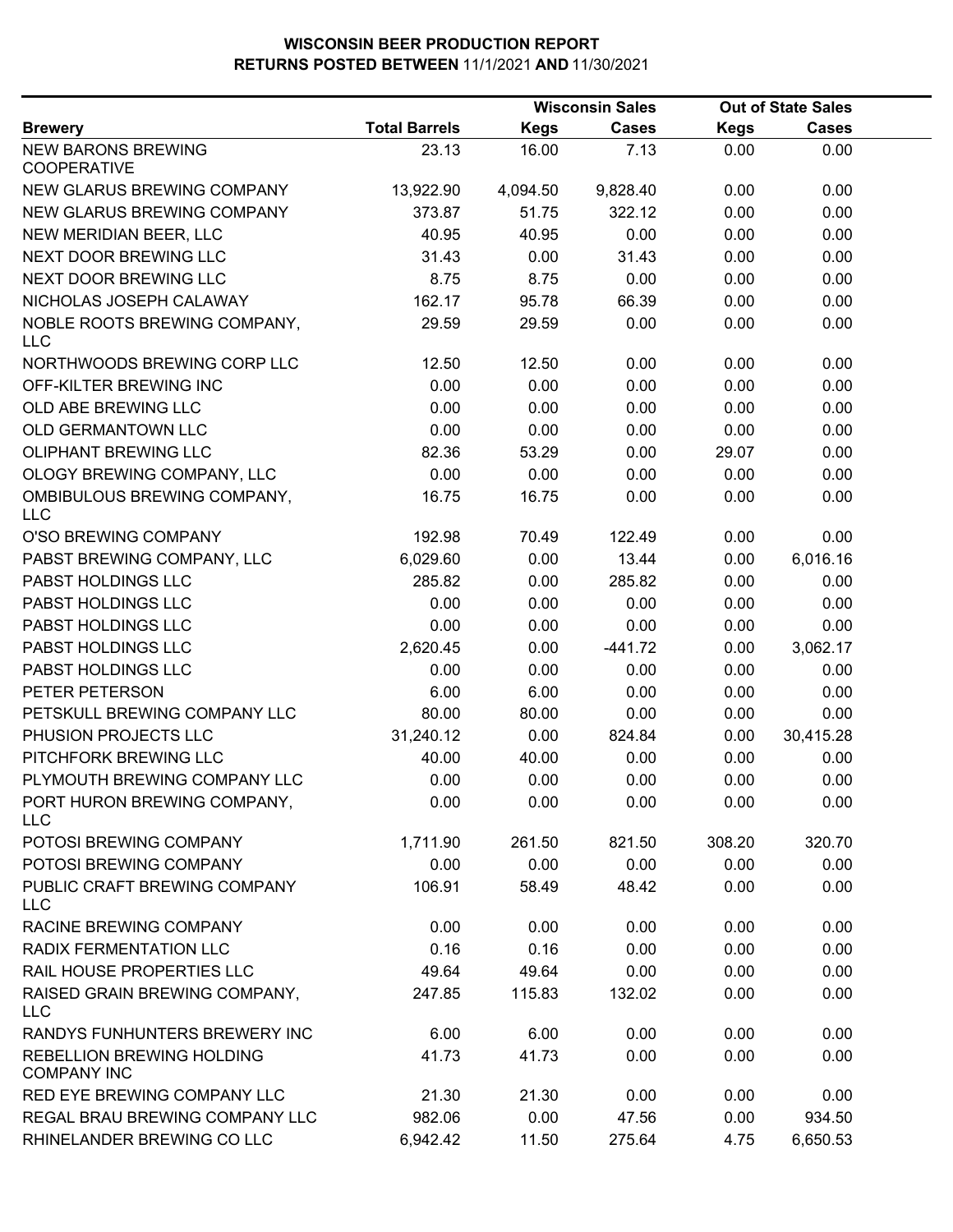|                                                 |                      |             | <b>Out of State Sales</b> |             |              |  |
|-------------------------------------------------|----------------------|-------------|---------------------------|-------------|--------------|--|
| <b>Brewery</b>                                  | <b>Total Barrels</b> | <b>Kegs</b> | <b>Cases</b>              | <b>Kegs</b> | <b>Cases</b> |  |
| <b>NEW BARONS BREWING</b><br><b>COOPERATIVE</b> | 23.13                | 16.00       | 7.13                      | 0.00        | 0.00         |  |
| NEW GLARUS BREWING COMPANY                      | 13,922.90            | 4,094.50    | 9,828.40                  | 0.00        | 0.00         |  |
| NEW GLARUS BREWING COMPANY                      | 373.87               | 51.75       | 322.12                    | 0.00        | 0.00         |  |
| NEW MERIDIAN BEER, LLC                          | 40.95                | 40.95       | 0.00                      | 0.00        | 0.00         |  |
| NEXT DOOR BREWING LLC                           | 31.43                | 0.00        | 31.43                     | 0.00        | 0.00         |  |
| NEXT DOOR BREWING LLC                           | 8.75                 | 8.75        | 0.00                      | 0.00        | 0.00         |  |
| NICHOLAS JOSEPH CALAWAY                         | 162.17               | 95.78       | 66.39                     | 0.00        | 0.00         |  |
| NOBLE ROOTS BREWING COMPANY,<br><b>LLC</b>      | 29.59                | 29.59       | 0.00                      | 0.00        | 0.00         |  |
| NORTHWOODS BREWING CORP LLC                     | 12.50                | 12.50       | 0.00                      | 0.00        | 0.00         |  |
| OFF-KILTER BREWING INC                          | 0.00                 | 0.00        | 0.00                      | 0.00        | 0.00         |  |
| OLD ABE BREWING LLC                             | 0.00                 | 0.00        | 0.00                      | 0.00        | 0.00         |  |
| OLD GERMANTOWN LLC                              | 0.00                 | 0.00        | 0.00                      | 0.00        | 0.00         |  |
| OLIPHANT BREWING LLC                            | 82.36                | 53.29       | 0.00                      | 29.07       | 0.00         |  |
| OLOGY BREWING COMPANY, LLC                      | 0.00                 | 0.00        | 0.00                      | 0.00        | 0.00         |  |
| OMBIBULOUS BREWING COMPANY,<br><b>LLC</b>       | 16.75                | 16.75       | 0.00                      | 0.00        | 0.00         |  |
| O'SO BREWING COMPANY                            | 192.98               | 70.49       | 122.49                    | 0.00        | 0.00         |  |
| PABST BREWING COMPANY, LLC                      | 6,029.60             | 0.00        | 13.44                     | 0.00        | 6,016.16     |  |
| PABST HOLDINGS LLC                              | 285.82               | 0.00        | 285.82                    | 0.00        | 0.00         |  |
| PABST HOLDINGS LLC                              | 0.00                 | 0.00        | 0.00                      | 0.00        | 0.00         |  |
| PABST HOLDINGS LLC                              | 0.00                 | 0.00        | 0.00                      | 0.00        | 0.00         |  |
| PABST HOLDINGS LLC                              | 2,620.45             | 0.00        | $-441.72$                 | 0.00        | 3,062.17     |  |
| PABST HOLDINGS LLC                              | 0.00                 | 0.00        | 0.00                      | 0.00        | 0.00         |  |
| PETER PETERSON                                  | 6.00                 | 6.00        | 0.00                      | 0.00        | 0.00         |  |
| PETSKULL BREWING COMPANY LLC                    | 80.00                | 80.00       | 0.00                      | 0.00        | 0.00         |  |
| PHUSION PROJECTS LLC                            | 31,240.12            | 0.00        | 824.84                    | 0.00        | 30,415.28    |  |
| PITCHFORK BREWING LLC                           | 40.00                | 40.00       | 0.00                      | 0.00        | 0.00         |  |
| PLYMOUTH BREWING COMPANY LLC                    | 0.00                 | 0.00        | 0.00                      | 0.00        | 0.00         |  |
| PORT HURON BREWING COMPANY,<br><b>LLC</b>       | 0.00                 | 0.00        | 0.00                      | 0.00        | 0.00         |  |
| POTOSI BREWING COMPANY                          | 1,711.90             | 261.50      | 821.50                    | 308.20      | 320.70       |  |
| POTOSI BREWING COMPANY                          | 0.00                 | 0.00        | 0.00                      | 0.00        | 0.00         |  |
| PUBLIC CRAFT BREWING COMPANY<br><b>LLC</b>      | 106.91               | 58.49       | 48.42                     | 0.00        | 0.00         |  |
| RACINE BREWING COMPANY                          | 0.00                 | 0.00        | 0.00                      | 0.00        | 0.00         |  |
| RADIX FERMENTATION LLC                          | 0.16                 | 0.16        | 0.00                      | 0.00        | 0.00         |  |
| RAIL HOUSE PROPERTIES LLC                       | 49.64                | 49.64       | 0.00                      | 0.00        | 0.00         |  |
| RAISED GRAIN BREWING COMPANY,<br><b>LLC</b>     | 247.85               | 115.83      | 132.02                    | 0.00        | 0.00         |  |
| RANDYS FUNHUNTERS BREWERY INC                   | 6.00                 | 6.00        | 0.00                      | 0.00        | 0.00         |  |
| REBELLION BREWING HOLDING<br><b>COMPANY INC</b> | 41.73                | 41.73       | 0.00                      | 0.00        | 0.00         |  |
| RED EYE BREWING COMPANY LLC                     | 21.30                | 21.30       | 0.00                      | 0.00        | 0.00         |  |
| REGAL BRAU BREWING COMPANY LLC                  | 982.06               | 0.00        | 47.56                     | 0.00        | 934.50       |  |
| RHINELANDER BREWING CO LLC                      | 6,942.42             | 11.50       | 275.64                    | 4.75        | 6,650.53     |  |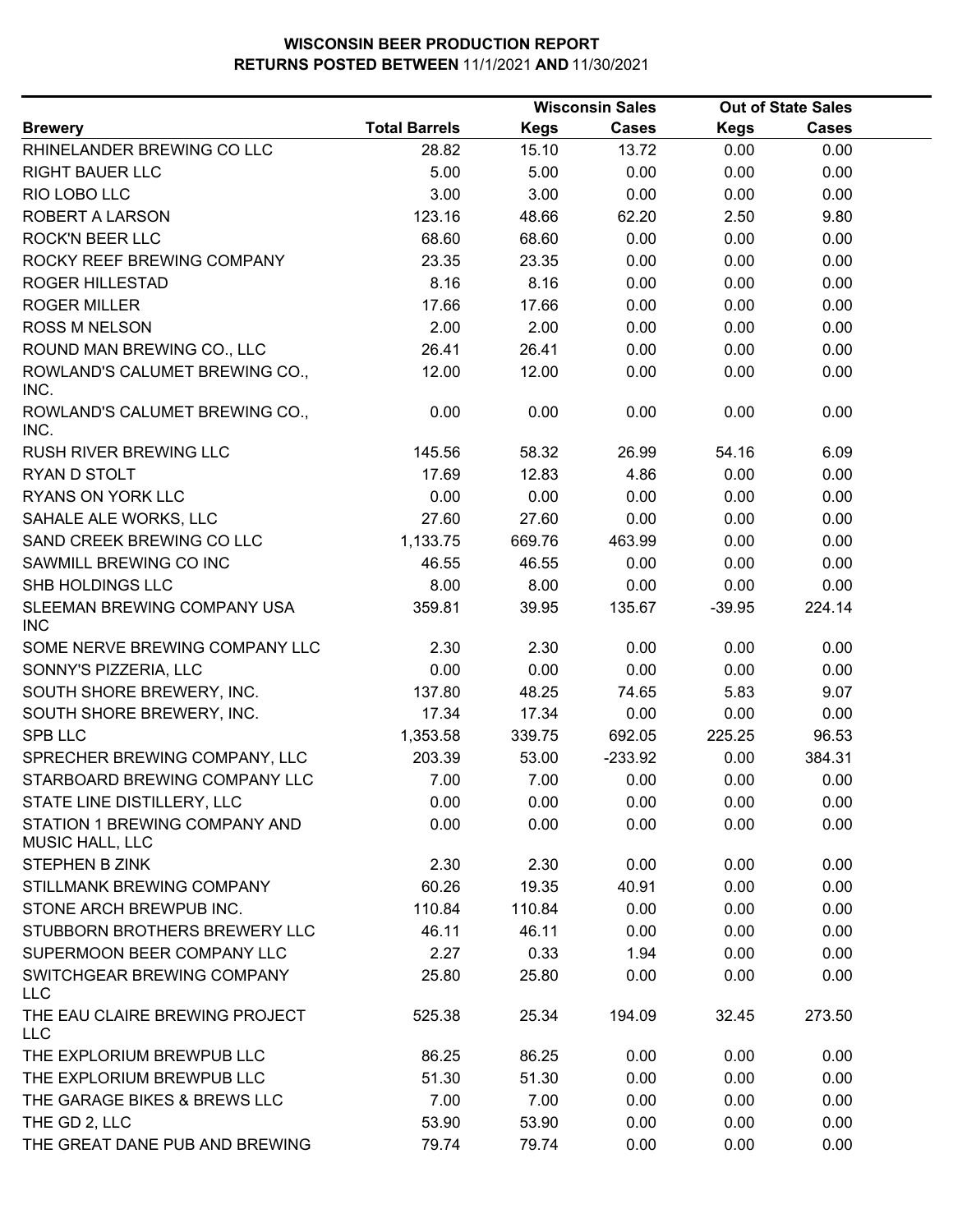| <b>Total Barrels</b><br><b>Kegs</b><br><b>Cases</b><br><b>Cases</b><br><b>Kegs</b><br><b>Brewery</b><br>28.82<br>13.72<br>0.00<br>RHINELANDER BREWING CO LLC<br>15.10<br>0.00<br><b>RIGHT BAUER LLC</b><br>5.00<br>5.00<br>0.00<br>0.00<br>0.00<br>3.00<br>3.00<br>RIO LOBO LLC<br>0.00<br>0.00<br>0.00<br>ROBERT A LARSON<br>123.16<br>48.66<br>62.20<br>2.50<br>9.80<br><b>ROCK'N BEER LLC</b><br>68.60<br>68.60<br>0.00<br>0.00<br>0.00<br>ROCKY REEF BREWING COMPANY<br>23.35<br>23.35<br>0.00<br>0.00<br>0.00<br>8.16<br><b>ROGER HILLESTAD</b><br>8.16<br>0.00<br>0.00<br>0.00<br><b>ROGER MILLER</b><br>17.66<br>17.66<br>0.00<br>0.00<br>0.00<br><b>ROSS M NELSON</b><br>2.00<br>2.00<br>0.00<br>0.00<br>0.00<br>ROUND MAN BREWING CO., LLC<br>26.41<br>26.41<br>0.00<br>0.00<br>0.00<br>ROWLAND'S CALUMET BREWING CO.,<br>12.00<br>12.00<br>0.00<br>0.00<br>0.00<br>INC.<br>ROWLAND'S CALUMET BREWING CO.,<br>0.00<br>0.00<br>0.00<br>0.00<br>0.00<br>INC.<br>145.56<br>58.32<br>26.99<br>54.16<br>6.09<br><b>RUSH RIVER BREWING LLC</b><br>RYAN D STOLT<br>17.69<br>12.83<br>4.86<br>0.00<br>0.00<br>RYANS ON YORK LLC<br>0.00<br>0.00<br>0.00<br>0.00<br>0.00<br>SAHALE ALE WORKS, LLC<br>27.60<br>27.60<br>0.00<br>0.00<br>0.00<br>SAND CREEK BREWING CO LLC<br>1,133.75<br>463.99<br>0.00<br>0.00<br>669.76<br>SAWMILL BREWING CO INC<br>46.55<br>46.55<br>0.00<br>0.00<br>0.00<br>8.00<br>SHB HOLDINGS LLC<br>8.00<br>0.00<br>0.00<br>0.00<br>SLEEMAN BREWING COMPANY USA<br>359.81<br>39.95<br>135.67<br>224.14<br>$-39.95$<br><b>INC</b><br>SOME NERVE BREWING COMPANY LLC<br>2.30<br>2.30<br>0.00<br>0.00<br>0.00<br>0.00<br>0.00<br>SONNY'S PIZZERIA, LLC<br>0.00<br>0.00<br>0.00<br>SOUTH SHORE BREWERY, INC.<br>137.80<br>48.25<br>74.65<br>5.83<br>9.07<br>17.34<br>17.34<br>0.00<br>0.00<br>SOUTH SHORE BREWERY, INC.<br>0.00<br><b>SPB LLC</b><br>692.05<br>225.25<br>96.53<br>1,353.58<br>339.75<br>SPRECHER BREWING COMPANY, LLC<br>203.39<br>53.00<br>$-233.92$<br>0.00<br>384.31<br>0.00<br>STARBOARD BREWING COMPANY LLC<br>7.00<br>7.00<br>0.00<br>0.00<br>STATE LINE DISTILLERY, LLC<br>0.00<br>0.00<br>0.00<br>0.00<br>0.00<br>STATION 1 BREWING COMPANY AND<br>0.00<br>0.00<br>0.00<br>0.00<br>0.00<br>MUSIC HALL, LLC<br>STEPHEN B ZINK<br>2.30<br>2.30<br>0.00<br>0.00<br>0.00<br>60.26<br>40.91<br>STILLMANK BREWING COMPANY<br>19.35<br>0.00<br>0.00<br>STONE ARCH BREWPUB INC.<br>110.84<br>110.84<br>0.00<br>0.00<br>0.00<br>STUBBORN BROTHERS BREWERY LLC<br>46.11<br>46.11<br>0.00<br>0.00<br>0.00<br>SUPERMOON BEER COMPANY LLC<br>2.27<br>0.33<br>1.94<br>0.00<br>0.00<br>SWITCHGEAR BREWING COMPANY<br>25.80<br>25.80<br>0.00<br>0.00<br>0.00<br><b>LLC</b><br>THE EAU CLAIRE BREWING PROJECT<br>525.38<br>25.34<br>194.09<br>32.45<br>273.50<br><b>LLC</b><br>THE EXPLORIUM BREWPUB LLC<br>86.25<br>86.25<br>0.00<br>0.00<br>0.00<br>THE EXPLORIUM BREWPUB LLC<br>51.30<br>51.30<br>0.00<br>0.00<br>0.00<br>THE GARAGE BIKES & BREWS LLC<br>7.00<br>7.00<br>0.00<br>0.00<br>0.00<br>THE GD 2, LLC<br>53.90<br>53.90<br>0.00<br>0.00<br>0.00<br>THE GREAT DANE PUB AND BREWING<br>79.74<br>79.74<br>0.00<br>0.00<br>0.00 |  | <b>Wisconsin Sales</b> |  | <b>Out of State Sales</b> |  |  |
|---------------------------------------------------------------------------------------------------------------------------------------------------------------------------------------------------------------------------------------------------------------------------------------------------------------------------------------------------------------------------------------------------------------------------------------------------------------------------------------------------------------------------------------------------------------------------------------------------------------------------------------------------------------------------------------------------------------------------------------------------------------------------------------------------------------------------------------------------------------------------------------------------------------------------------------------------------------------------------------------------------------------------------------------------------------------------------------------------------------------------------------------------------------------------------------------------------------------------------------------------------------------------------------------------------------------------------------------------------------------------------------------------------------------------------------------------------------------------------------------------------------------------------------------------------------------------------------------------------------------------------------------------------------------------------------------------------------------------------------------------------------------------------------------------------------------------------------------------------------------------------------------------------------------------------------------------------------------------------------------------------------------------------------------------------------------------------------------------------------------------------------------------------------------------------------------------------------------------------------------------------------------------------------------------------------------------------------------------------------------------------------------------------------------------------------------------------------------------------------------------------------------------------------------------------------------------------------------------------------------------------------------------------------------------------------------------------------------------------------------------------------------------------------------------------------------------------------------------------------------------------------------------------------------------------------------------------------------------------------------------------------------------------------------------------------------------------------------------------------------------------------------------------------------|--|------------------------|--|---------------------------|--|--|
|                                                                                                                                                                                                                                                                                                                                                                                                                                                                                                                                                                                                                                                                                                                                                                                                                                                                                                                                                                                                                                                                                                                                                                                                                                                                                                                                                                                                                                                                                                                                                                                                                                                                                                                                                                                                                                                                                                                                                                                                                                                                                                                                                                                                                                                                                                                                                                                                                                                                                                                                                                                                                                                                                                                                                                                                                                                                                                                                                                                                                                                                                                                                                                     |  |                        |  |                           |  |  |
|                                                                                                                                                                                                                                                                                                                                                                                                                                                                                                                                                                                                                                                                                                                                                                                                                                                                                                                                                                                                                                                                                                                                                                                                                                                                                                                                                                                                                                                                                                                                                                                                                                                                                                                                                                                                                                                                                                                                                                                                                                                                                                                                                                                                                                                                                                                                                                                                                                                                                                                                                                                                                                                                                                                                                                                                                                                                                                                                                                                                                                                                                                                                                                     |  |                        |  |                           |  |  |
|                                                                                                                                                                                                                                                                                                                                                                                                                                                                                                                                                                                                                                                                                                                                                                                                                                                                                                                                                                                                                                                                                                                                                                                                                                                                                                                                                                                                                                                                                                                                                                                                                                                                                                                                                                                                                                                                                                                                                                                                                                                                                                                                                                                                                                                                                                                                                                                                                                                                                                                                                                                                                                                                                                                                                                                                                                                                                                                                                                                                                                                                                                                                                                     |  |                        |  |                           |  |  |
|                                                                                                                                                                                                                                                                                                                                                                                                                                                                                                                                                                                                                                                                                                                                                                                                                                                                                                                                                                                                                                                                                                                                                                                                                                                                                                                                                                                                                                                                                                                                                                                                                                                                                                                                                                                                                                                                                                                                                                                                                                                                                                                                                                                                                                                                                                                                                                                                                                                                                                                                                                                                                                                                                                                                                                                                                                                                                                                                                                                                                                                                                                                                                                     |  |                        |  |                           |  |  |
|                                                                                                                                                                                                                                                                                                                                                                                                                                                                                                                                                                                                                                                                                                                                                                                                                                                                                                                                                                                                                                                                                                                                                                                                                                                                                                                                                                                                                                                                                                                                                                                                                                                                                                                                                                                                                                                                                                                                                                                                                                                                                                                                                                                                                                                                                                                                                                                                                                                                                                                                                                                                                                                                                                                                                                                                                                                                                                                                                                                                                                                                                                                                                                     |  |                        |  |                           |  |  |
|                                                                                                                                                                                                                                                                                                                                                                                                                                                                                                                                                                                                                                                                                                                                                                                                                                                                                                                                                                                                                                                                                                                                                                                                                                                                                                                                                                                                                                                                                                                                                                                                                                                                                                                                                                                                                                                                                                                                                                                                                                                                                                                                                                                                                                                                                                                                                                                                                                                                                                                                                                                                                                                                                                                                                                                                                                                                                                                                                                                                                                                                                                                                                                     |  |                        |  |                           |  |  |
|                                                                                                                                                                                                                                                                                                                                                                                                                                                                                                                                                                                                                                                                                                                                                                                                                                                                                                                                                                                                                                                                                                                                                                                                                                                                                                                                                                                                                                                                                                                                                                                                                                                                                                                                                                                                                                                                                                                                                                                                                                                                                                                                                                                                                                                                                                                                                                                                                                                                                                                                                                                                                                                                                                                                                                                                                                                                                                                                                                                                                                                                                                                                                                     |  |                        |  |                           |  |  |
|                                                                                                                                                                                                                                                                                                                                                                                                                                                                                                                                                                                                                                                                                                                                                                                                                                                                                                                                                                                                                                                                                                                                                                                                                                                                                                                                                                                                                                                                                                                                                                                                                                                                                                                                                                                                                                                                                                                                                                                                                                                                                                                                                                                                                                                                                                                                                                                                                                                                                                                                                                                                                                                                                                                                                                                                                                                                                                                                                                                                                                                                                                                                                                     |  |                        |  |                           |  |  |
|                                                                                                                                                                                                                                                                                                                                                                                                                                                                                                                                                                                                                                                                                                                                                                                                                                                                                                                                                                                                                                                                                                                                                                                                                                                                                                                                                                                                                                                                                                                                                                                                                                                                                                                                                                                                                                                                                                                                                                                                                                                                                                                                                                                                                                                                                                                                                                                                                                                                                                                                                                                                                                                                                                                                                                                                                                                                                                                                                                                                                                                                                                                                                                     |  |                        |  |                           |  |  |
|                                                                                                                                                                                                                                                                                                                                                                                                                                                                                                                                                                                                                                                                                                                                                                                                                                                                                                                                                                                                                                                                                                                                                                                                                                                                                                                                                                                                                                                                                                                                                                                                                                                                                                                                                                                                                                                                                                                                                                                                                                                                                                                                                                                                                                                                                                                                                                                                                                                                                                                                                                                                                                                                                                                                                                                                                                                                                                                                                                                                                                                                                                                                                                     |  |                        |  |                           |  |  |
|                                                                                                                                                                                                                                                                                                                                                                                                                                                                                                                                                                                                                                                                                                                                                                                                                                                                                                                                                                                                                                                                                                                                                                                                                                                                                                                                                                                                                                                                                                                                                                                                                                                                                                                                                                                                                                                                                                                                                                                                                                                                                                                                                                                                                                                                                                                                                                                                                                                                                                                                                                                                                                                                                                                                                                                                                                                                                                                                                                                                                                                                                                                                                                     |  |                        |  |                           |  |  |
|                                                                                                                                                                                                                                                                                                                                                                                                                                                                                                                                                                                                                                                                                                                                                                                                                                                                                                                                                                                                                                                                                                                                                                                                                                                                                                                                                                                                                                                                                                                                                                                                                                                                                                                                                                                                                                                                                                                                                                                                                                                                                                                                                                                                                                                                                                                                                                                                                                                                                                                                                                                                                                                                                                                                                                                                                                                                                                                                                                                                                                                                                                                                                                     |  |                        |  |                           |  |  |
|                                                                                                                                                                                                                                                                                                                                                                                                                                                                                                                                                                                                                                                                                                                                                                                                                                                                                                                                                                                                                                                                                                                                                                                                                                                                                                                                                                                                                                                                                                                                                                                                                                                                                                                                                                                                                                                                                                                                                                                                                                                                                                                                                                                                                                                                                                                                                                                                                                                                                                                                                                                                                                                                                                                                                                                                                                                                                                                                                                                                                                                                                                                                                                     |  |                        |  |                           |  |  |
|                                                                                                                                                                                                                                                                                                                                                                                                                                                                                                                                                                                                                                                                                                                                                                                                                                                                                                                                                                                                                                                                                                                                                                                                                                                                                                                                                                                                                                                                                                                                                                                                                                                                                                                                                                                                                                                                                                                                                                                                                                                                                                                                                                                                                                                                                                                                                                                                                                                                                                                                                                                                                                                                                                                                                                                                                                                                                                                                                                                                                                                                                                                                                                     |  |                        |  |                           |  |  |
|                                                                                                                                                                                                                                                                                                                                                                                                                                                                                                                                                                                                                                                                                                                                                                                                                                                                                                                                                                                                                                                                                                                                                                                                                                                                                                                                                                                                                                                                                                                                                                                                                                                                                                                                                                                                                                                                                                                                                                                                                                                                                                                                                                                                                                                                                                                                                                                                                                                                                                                                                                                                                                                                                                                                                                                                                                                                                                                                                                                                                                                                                                                                                                     |  |                        |  |                           |  |  |
|                                                                                                                                                                                                                                                                                                                                                                                                                                                                                                                                                                                                                                                                                                                                                                                                                                                                                                                                                                                                                                                                                                                                                                                                                                                                                                                                                                                                                                                                                                                                                                                                                                                                                                                                                                                                                                                                                                                                                                                                                                                                                                                                                                                                                                                                                                                                                                                                                                                                                                                                                                                                                                                                                                                                                                                                                                                                                                                                                                                                                                                                                                                                                                     |  |                        |  |                           |  |  |
|                                                                                                                                                                                                                                                                                                                                                                                                                                                                                                                                                                                                                                                                                                                                                                                                                                                                                                                                                                                                                                                                                                                                                                                                                                                                                                                                                                                                                                                                                                                                                                                                                                                                                                                                                                                                                                                                                                                                                                                                                                                                                                                                                                                                                                                                                                                                                                                                                                                                                                                                                                                                                                                                                                                                                                                                                                                                                                                                                                                                                                                                                                                                                                     |  |                        |  |                           |  |  |
|                                                                                                                                                                                                                                                                                                                                                                                                                                                                                                                                                                                                                                                                                                                                                                                                                                                                                                                                                                                                                                                                                                                                                                                                                                                                                                                                                                                                                                                                                                                                                                                                                                                                                                                                                                                                                                                                                                                                                                                                                                                                                                                                                                                                                                                                                                                                                                                                                                                                                                                                                                                                                                                                                                                                                                                                                                                                                                                                                                                                                                                                                                                                                                     |  |                        |  |                           |  |  |
|                                                                                                                                                                                                                                                                                                                                                                                                                                                                                                                                                                                                                                                                                                                                                                                                                                                                                                                                                                                                                                                                                                                                                                                                                                                                                                                                                                                                                                                                                                                                                                                                                                                                                                                                                                                                                                                                                                                                                                                                                                                                                                                                                                                                                                                                                                                                                                                                                                                                                                                                                                                                                                                                                                                                                                                                                                                                                                                                                                                                                                                                                                                                                                     |  |                        |  |                           |  |  |
|                                                                                                                                                                                                                                                                                                                                                                                                                                                                                                                                                                                                                                                                                                                                                                                                                                                                                                                                                                                                                                                                                                                                                                                                                                                                                                                                                                                                                                                                                                                                                                                                                                                                                                                                                                                                                                                                                                                                                                                                                                                                                                                                                                                                                                                                                                                                                                                                                                                                                                                                                                                                                                                                                                                                                                                                                                                                                                                                                                                                                                                                                                                                                                     |  |                        |  |                           |  |  |
|                                                                                                                                                                                                                                                                                                                                                                                                                                                                                                                                                                                                                                                                                                                                                                                                                                                                                                                                                                                                                                                                                                                                                                                                                                                                                                                                                                                                                                                                                                                                                                                                                                                                                                                                                                                                                                                                                                                                                                                                                                                                                                                                                                                                                                                                                                                                                                                                                                                                                                                                                                                                                                                                                                                                                                                                                                                                                                                                                                                                                                                                                                                                                                     |  |                        |  |                           |  |  |
|                                                                                                                                                                                                                                                                                                                                                                                                                                                                                                                                                                                                                                                                                                                                                                                                                                                                                                                                                                                                                                                                                                                                                                                                                                                                                                                                                                                                                                                                                                                                                                                                                                                                                                                                                                                                                                                                                                                                                                                                                                                                                                                                                                                                                                                                                                                                                                                                                                                                                                                                                                                                                                                                                                                                                                                                                                                                                                                                                                                                                                                                                                                                                                     |  |                        |  |                           |  |  |
|                                                                                                                                                                                                                                                                                                                                                                                                                                                                                                                                                                                                                                                                                                                                                                                                                                                                                                                                                                                                                                                                                                                                                                                                                                                                                                                                                                                                                                                                                                                                                                                                                                                                                                                                                                                                                                                                                                                                                                                                                                                                                                                                                                                                                                                                                                                                                                                                                                                                                                                                                                                                                                                                                                                                                                                                                                                                                                                                                                                                                                                                                                                                                                     |  |                        |  |                           |  |  |
|                                                                                                                                                                                                                                                                                                                                                                                                                                                                                                                                                                                                                                                                                                                                                                                                                                                                                                                                                                                                                                                                                                                                                                                                                                                                                                                                                                                                                                                                                                                                                                                                                                                                                                                                                                                                                                                                                                                                                                                                                                                                                                                                                                                                                                                                                                                                                                                                                                                                                                                                                                                                                                                                                                                                                                                                                                                                                                                                                                                                                                                                                                                                                                     |  |                        |  |                           |  |  |
|                                                                                                                                                                                                                                                                                                                                                                                                                                                                                                                                                                                                                                                                                                                                                                                                                                                                                                                                                                                                                                                                                                                                                                                                                                                                                                                                                                                                                                                                                                                                                                                                                                                                                                                                                                                                                                                                                                                                                                                                                                                                                                                                                                                                                                                                                                                                                                                                                                                                                                                                                                                                                                                                                                                                                                                                                                                                                                                                                                                                                                                                                                                                                                     |  |                        |  |                           |  |  |
|                                                                                                                                                                                                                                                                                                                                                                                                                                                                                                                                                                                                                                                                                                                                                                                                                                                                                                                                                                                                                                                                                                                                                                                                                                                                                                                                                                                                                                                                                                                                                                                                                                                                                                                                                                                                                                                                                                                                                                                                                                                                                                                                                                                                                                                                                                                                                                                                                                                                                                                                                                                                                                                                                                                                                                                                                                                                                                                                                                                                                                                                                                                                                                     |  |                        |  |                           |  |  |
|                                                                                                                                                                                                                                                                                                                                                                                                                                                                                                                                                                                                                                                                                                                                                                                                                                                                                                                                                                                                                                                                                                                                                                                                                                                                                                                                                                                                                                                                                                                                                                                                                                                                                                                                                                                                                                                                                                                                                                                                                                                                                                                                                                                                                                                                                                                                                                                                                                                                                                                                                                                                                                                                                                                                                                                                                                                                                                                                                                                                                                                                                                                                                                     |  |                        |  |                           |  |  |
|                                                                                                                                                                                                                                                                                                                                                                                                                                                                                                                                                                                                                                                                                                                                                                                                                                                                                                                                                                                                                                                                                                                                                                                                                                                                                                                                                                                                                                                                                                                                                                                                                                                                                                                                                                                                                                                                                                                                                                                                                                                                                                                                                                                                                                                                                                                                                                                                                                                                                                                                                                                                                                                                                                                                                                                                                                                                                                                                                                                                                                                                                                                                                                     |  |                        |  |                           |  |  |
|                                                                                                                                                                                                                                                                                                                                                                                                                                                                                                                                                                                                                                                                                                                                                                                                                                                                                                                                                                                                                                                                                                                                                                                                                                                                                                                                                                                                                                                                                                                                                                                                                                                                                                                                                                                                                                                                                                                                                                                                                                                                                                                                                                                                                                                                                                                                                                                                                                                                                                                                                                                                                                                                                                                                                                                                                                                                                                                                                                                                                                                                                                                                                                     |  |                        |  |                           |  |  |
|                                                                                                                                                                                                                                                                                                                                                                                                                                                                                                                                                                                                                                                                                                                                                                                                                                                                                                                                                                                                                                                                                                                                                                                                                                                                                                                                                                                                                                                                                                                                                                                                                                                                                                                                                                                                                                                                                                                                                                                                                                                                                                                                                                                                                                                                                                                                                                                                                                                                                                                                                                                                                                                                                                                                                                                                                                                                                                                                                                                                                                                                                                                                                                     |  |                        |  |                           |  |  |
|                                                                                                                                                                                                                                                                                                                                                                                                                                                                                                                                                                                                                                                                                                                                                                                                                                                                                                                                                                                                                                                                                                                                                                                                                                                                                                                                                                                                                                                                                                                                                                                                                                                                                                                                                                                                                                                                                                                                                                                                                                                                                                                                                                                                                                                                                                                                                                                                                                                                                                                                                                                                                                                                                                                                                                                                                                                                                                                                                                                                                                                                                                                                                                     |  |                        |  |                           |  |  |
|                                                                                                                                                                                                                                                                                                                                                                                                                                                                                                                                                                                                                                                                                                                                                                                                                                                                                                                                                                                                                                                                                                                                                                                                                                                                                                                                                                                                                                                                                                                                                                                                                                                                                                                                                                                                                                                                                                                                                                                                                                                                                                                                                                                                                                                                                                                                                                                                                                                                                                                                                                                                                                                                                                                                                                                                                                                                                                                                                                                                                                                                                                                                                                     |  |                        |  |                           |  |  |
|                                                                                                                                                                                                                                                                                                                                                                                                                                                                                                                                                                                                                                                                                                                                                                                                                                                                                                                                                                                                                                                                                                                                                                                                                                                                                                                                                                                                                                                                                                                                                                                                                                                                                                                                                                                                                                                                                                                                                                                                                                                                                                                                                                                                                                                                                                                                                                                                                                                                                                                                                                                                                                                                                                                                                                                                                                                                                                                                                                                                                                                                                                                                                                     |  |                        |  |                           |  |  |
|                                                                                                                                                                                                                                                                                                                                                                                                                                                                                                                                                                                                                                                                                                                                                                                                                                                                                                                                                                                                                                                                                                                                                                                                                                                                                                                                                                                                                                                                                                                                                                                                                                                                                                                                                                                                                                                                                                                                                                                                                                                                                                                                                                                                                                                                                                                                                                                                                                                                                                                                                                                                                                                                                                                                                                                                                                                                                                                                                                                                                                                                                                                                                                     |  |                        |  |                           |  |  |
|                                                                                                                                                                                                                                                                                                                                                                                                                                                                                                                                                                                                                                                                                                                                                                                                                                                                                                                                                                                                                                                                                                                                                                                                                                                                                                                                                                                                                                                                                                                                                                                                                                                                                                                                                                                                                                                                                                                                                                                                                                                                                                                                                                                                                                                                                                                                                                                                                                                                                                                                                                                                                                                                                                                                                                                                                                                                                                                                                                                                                                                                                                                                                                     |  |                        |  |                           |  |  |
|                                                                                                                                                                                                                                                                                                                                                                                                                                                                                                                                                                                                                                                                                                                                                                                                                                                                                                                                                                                                                                                                                                                                                                                                                                                                                                                                                                                                                                                                                                                                                                                                                                                                                                                                                                                                                                                                                                                                                                                                                                                                                                                                                                                                                                                                                                                                                                                                                                                                                                                                                                                                                                                                                                                                                                                                                                                                                                                                                                                                                                                                                                                                                                     |  |                        |  |                           |  |  |
|                                                                                                                                                                                                                                                                                                                                                                                                                                                                                                                                                                                                                                                                                                                                                                                                                                                                                                                                                                                                                                                                                                                                                                                                                                                                                                                                                                                                                                                                                                                                                                                                                                                                                                                                                                                                                                                                                                                                                                                                                                                                                                                                                                                                                                                                                                                                                                                                                                                                                                                                                                                                                                                                                                                                                                                                                                                                                                                                                                                                                                                                                                                                                                     |  |                        |  |                           |  |  |
|                                                                                                                                                                                                                                                                                                                                                                                                                                                                                                                                                                                                                                                                                                                                                                                                                                                                                                                                                                                                                                                                                                                                                                                                                                                                                                                                                                                                                                                                                                                                                                                                                                                                                                                                                                                                                                                                                                                                                                                                                                                                                                                                                                                                                                                                                                                                                                                                                                                                                                                                                                                                                                                                                                                                                                                                                                                                                                                                                                                                                                                                                                                                                                     |  |                        |  |                           |  |  |
|                                                                                                                                                                                                                                                                                                                                                                                                                                                                                                                                                                                                                                                                                                                                                                                                                                                                                                                                                                                                                                                                                                                                                                                                                                                                                                                                                                                                                                                                                                                                                                                                                                                                                                                                                                                                                                                                                                                                                                                                                                                                                                                                                                                                                                                                                                                                                                                                                                                                                                                                                                                                                                                                                                                                                                                                                                                                                                                                                                                                                                                                                                                                                                     |  |                        |  |                           |  |  |
|                                                                                                                                                                                                                                                                                                                                                                                                                                                                                                                                                                                                                                                                                                                                                                                                                                                                                                                                                                                                                                                                                                                                                                                                                                                                                                                                                                                                                                                                                                                                                                                                                                                                                                                                                                                                                                                                                                                                                                                                                                                                                                                                                                                                                                                                                                                                                                                                                                                                                                                                                                                                                                                                                                                                                                                                                                                                                                                                                                                                                                                                                                                                                                     |  |                        |  |                           |  |  |
|                                                                                                                                                                                                                                                                                                                                                                                                                                                                                                                                                                                                                                                                                                                                                                                                                                                                                                                                                                                                                                                                                                                                                                                                                                                                                                                                                                                                                                                                                                                                                                                                                                                                                                                                                                                                                                                                                                                                                                                                                                                                                                                                                                                                                                                                                                                                                                                                                                                                                                                                                                                                                                                                                                                                                                                                                                                                                                                                                                                                                                                                                                                                                                     |  |                        |  |                           |  |  |
|                                                                                                                                                                                                                                                                                                                                                                                                                                                                                                                                                                                                                                                                                                                                                                                                                                                                                                                                                                                                                                                                                                                                                                                                                                                                                                                                                                                                                                                                                                                                                                                                                                                                                                                                                                                                                                                                                                                                                                                                                                                                                                                                                                                                                                                                                                                                                                                                                                                                                                                                                                                                                                                                                                                                                                                                                                                                                                                                                                                                                                                                                                                                                                     |  |                        |  |                           |  |  |